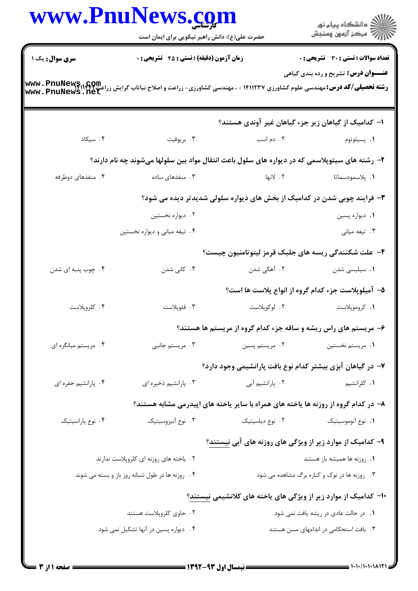|                                                 | حضرت علی(ع): دانش راهبر نیکویی برای ایمان است                                                                                                    |                                                                          | ر<br>راڪ دانشڪاه پيام نور<br>راڪ مرڪز آزمون وسنڊش  |  |
|-------------------------------------------------|--------------------------------------------------------------------------------------------------------------------------------------------------|--------------------------------------------------------------------------|----------------------------------------------------|--|
| سری سوال: یک ۱                                  | زمان آزمون (دقیقه) : تستی : 45 آتشریحی : 0                                                                                                       |                                                                          | <b>تعداد سوالات : تستی : 30 ٪ تشریحی : 0</b>       |  |
|                                                 | <b>رشته تحصیلی/کد درس:</b> مهندسی علوم کشاورزی ۱۴۱۱۲۳۷ - ، مهندسی کشاورزی- زراعت و اصلاح نباتاب گرایش زراعت www . PnuNews<br>www . PnuNews . net |                                                                          | <b>عنـــوان درس:</b> تشریح و رده بندی گیاهی        |  |
|                                                 |                                                                                                                                                  | ا– کدامیک از گیاهان زیر جزء گیاهان غیر آوندی هستند؟                      |                                                    |  |
| ۰۴ سیکاد                                        | ۰۳ بريوفيت                                                                                                                                       | ۰۲ دم اسب                                                                | ۰۱ پسیلوتوم                                        |  |
|                                                 | ۲- رشته های سیتوپلاسمی که در دیواره های سلول باعث انتقال مواد بین سلولها میشوند چه نام دارند؟                                                    |                                                                          |                                                    |  |
| ۴. منفذهای دوطرفه                               | ۰۳ منفذهای ساده                                                                                                                                  | ٢. لانها                                                                 | <b>۱.</b> پلاسمودسماتا                             |  |
|                                                 |                                                                                                                                                  | ۳- فرایند چوبی شدن در کدامیک از بخش های دیواره سلولی شدیدتر دیده می شود؟ |                                                    |  |
|                                                 | ۰۲ دیواره نخستین                                                                                                                                 |                                                                          | ٠١ ديواره پسين                                     |  |
|                                                 | ۴. تیغه میانی و دیواره نخستین                                                                                                                    |                                                                          | ۰۳ تیغه میانی                                      |  |
|                                                 |                                                                                                                                                  | ۴– علت شکنندگی ریسه های جلبک قرمز لیتوتامنیون چیست؟                      |                                                    |  |
| ۰۴ چوب پنبه ای شدن                              | ۰۳ کانی شدن                                                                                                                                      | ۲.  آهکی شدن                                                             | ٠١. سيليسى شدن                                     |  |
|                                                 |                                                                                                                                                  |                                                                          | ۵– آمیلوپلاست جزء کدام گروه از انواع پلاست ها است؟ |  |
| ۰۴ کلروپلاست                                    | ۰۳ فئوپلاست                                                                                                                                      | ۰۲ لوکوپلاست                                                             | ٠١. كروموپلاست                                     |  |
|                                                 |                                                                                                                                                  | ۶- مریستم های راس ریشه و ساقه جزء کدام گروه از مریستم ها هستند؟          |                                                    |  |
| ۰۴ مريستم ميانگره اي                            | ۰۳ مریستم جانبی                                                                                                                                  | ۰۲ مريستم پسين                                                           | 1. مريستم نخستين                                   |  |
|                                                 |                                                                                                                                                  | ۷– در گیاهان آبزی بیشتر کدام نوع بافت پارانشیمی وجود دارد؟               |                                                    |  |
| ۰۴ پارانشیم حفره ای                             | ۰۳ پارانشیم ذخیره ای                                                                                                                             | ۰۲ پارانشیم آبی                                                          | <b>۱.</b> کلرانشیم                                 |  |
|                                                 | ۸– در کدام گروه از روزنه ها یاخته های همراه با سایر یاخته های اپیدرمی مشابه هستند؟                                                               |                                                                          |                                                    |  |
| ۰۴ نوع پاراسيتيک                                | ۰۳ نوع آنیزوسیتیک                                                                                                                                | ٠٢ نوع دياسيتيک                                                          | ٠١. نوع آنوموسيتيک                                 |  |
|                                                 |                                                                                                                                                  | ۹- کدامیک از موارد زیر از ویژگی های روزنه های آبی <u>نیستند</u> ؟        |                                                    |  |
|                                                 | ۰۲ یاخته های روزنه ای کلروپلاست ندارند                                                                                                           |                                                                          | ۰۱ روزنه ها همیشه باز هستند                        |  |
| ۰۴ روزنه ها در طول شبانه روز باز و بسته می شوند |                                                                                                                                                  |                                                                          | ۰۳ روزنه ها در نوک و کناره برگ مشاهده می شود       |  |
|                                                 |                                                                                                                                                  | ۱۰– کدامیک از موارد زیر از ویژگی های یاخته های کلانشیمی نیستند؟          |                                                    |  |
|                                                 | ۲. حاوی کلروپلاست هستند                                                                                                                          |                                                                          | ۰۱ در حالت عادی در ریشه یافت نمی شود               |  |
|                                                 | ۰۴ دیواره پسین در آنها تشکیل نمی شود                                                                                                             |                                                                          | ۰۳ بافت استحکامی در اندامهای مسن هستند             |  |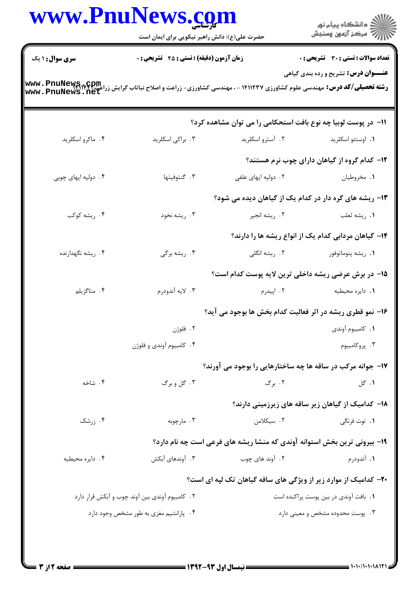|                                                | حضرت علی(ع): دانش راهبر نیکویی برای ایمان است                                                                                                                 |                                                                          | ِ<br>∭ دانشڪاه پيام نور<br>∭ مرڪز آزمون وسنڊش                |  |
|------------------------------------------------|---------------------------------------------------------------------------------------------------------------------------------------------------------------|--------------------------------------------------------------------------|--------------------------------------------------------------|--|
| <b>سری سوال : ۱ یک</b>                         | <b>زمان آزمون (دقیقه) : تستی : 45 تشریحی : 0</b>                                                                                                              |                                                                          | تعداد سوالات : تستى : 30 قشريحى : 0                          |  |
|                                                | <b>رشته تحصیلی/کد درس:</b> مهندسی علوم کشاورزی ۱۴۱۱۲۳۷ - ، مهندسی کشاورزی- زراعت و اصلاح نباتاب گرایش زراعت <b>www . PnuNews , net</b><br>www . PnuNews . net |                                                                          | <b>عنـــوان درس:</b> تشریح و رده بندی گیاهی                  |  |
|                                                |                                                                                                                                                               | 11- در پوست لوبیا چه نوع بافت استحکامی را می توان مشاهده کرد؟            |                                                              |  |
| ۰۴ ماکرو اسکلرید                               | ۰۳ براکی اسکلرید                                                                                                                                              | ۰۲ آسترو اسکلرید                                                         | ٠١. اوستئو اسكلريد                                           |  |
|                                                |                                                                                                                                                               |                                                                          | <b>۱۲</b> - کدام گروه از گیاهان دارای چوب نرم هستند؟         |  |
| ۴. دولپه ايهای چوبی                            | ۰۳ گنتوفیتها                                                                                                                                                  | ۲. دولپه ايهای علفی                                                      | ۰۱ مخروطیان                                                  |  |
|                                                |                                                                                                                                                               | ۱۳– ریشه های گره دار در کدام یک از گیاهان دیده می شود؟                   |                                                              |  |
| ۴. ریشه کوکب                                   | ۰۳ ريشه نخود                                                                                                                                                  | ۰۲ ريشه انجير                                                            | ۰۱ ريشه ثعلب                                                 |  |
|                                                |                                                                                                                                                               |                                                                          | <b>۱۴</b> - گیاهان مردابی کدام یک از انواع ریشه ها را دارند؟ |  |
| ۴. ریشه نگهدارنده                              | ۰۳ ریشه برگی                                                                                                                                                  | ۰۲ ریشه انگلی                                                            | ۰۱ ريشه پنوماتوفور                                           |  |
|                                                |                                                                                                                                                               | ۱۵– در برش عرضی ریشه داخلی ترین لایه پوست کدام است؟                      |                                                              |  |
| ۰۴ متاگزیلم                                    | ۰۳ لايه آندودرم                                                                                                                                               | ۲. اپيدرم                                                                | ۰۱ دایره محیطیه                                              |  |
|                                                |                                                                                                                                                               | ۱۶- نمو قطری ریشه در اثر فعالیت کدام بخش ها بوجود می آید؟                |                                                              |  |
|                                                | ۰۲ فلوژن                                                                                                                                                      |                                                                          | ٠١. كامبيوم آوندي                                            |  |
|                                                | ۰۴ کامبیوم آوندی و فلوژن                                                                                                                                      |                                                                          | ۰۳. پروکامبیوم                                               |  |
|                                                |                                                                                                                                                               | ۱۷- جوانه مرکب در ساقه ها چه ساختارهایی را بوجود می آورند؟               |                                                              |  |
| ۰۴ شاخه                                        | ۰۳ گل و برگ                                                                                                                                                   | ۰۲ برگ                                                                   | <b>۱.</b> گل                                                 |  |
|                                                |                                                                                                                                                               |                                                                          | ۱۸– کدامیک از گیاهان زیر ساقه های زیرزمینی دارند؟            |  |
| ۰۴ زرشک                                        | ۰۳ مارچوبه                                                                                                                                                    | ۰۲ سیکلامن                                                               | ۰۱ توت فرنگ <i>ی</i>                                         |  |
|                                                |                                                                                                                                                               | ۱۹- بیرونی ترین بخش استوانه آوندی که منشا ریشه های فرعی است چه نام دارد؟ |                                                              |  |
| ۰۴ دايره محيطيه                                | ۰۳ آوندهای آبکش                                                                                                                                               | ۲. آوند های چوب                                                          | ۰۱ آندودرم                                                   |  |
|                                                |                                                                                                                                                               | ۲۰- کدامیک از موارد زیر از ویژگی های ساقه گیاهان تک لپه ای است؟          |                                                              |  |
| ۰۲ کامبیوم آوندی بین آوند چوب و آبکش قرار دارد |                                                                                                                                                               |                                                                          | ۰۱ بافت آوندی در بین پوست پراکنده است                        |  |
|                                                | ۰۴ پارانشیم مغزی به طور مشخص وجود دارد                                                                                                                        |                                                                          | ۰۳ پوست محدوده مشخص و معینی دارد                             |  |